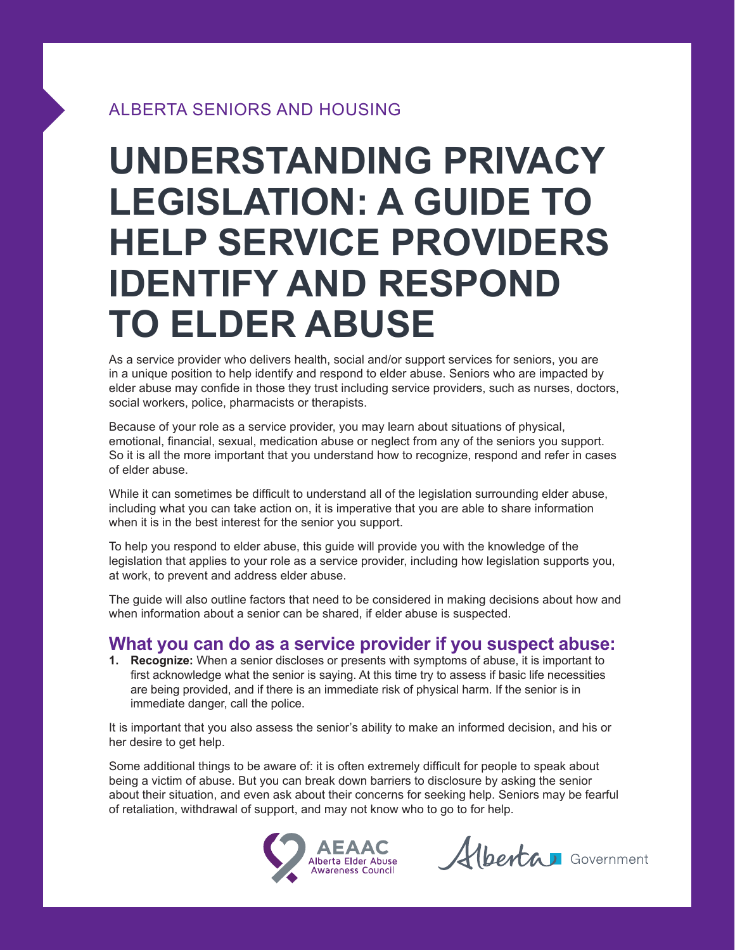## ALBERTA SENIORS AND HOUSING

# **UNDERSTANDING PRIVACY LEGISLATION: A GUIDE TO HELP SERVICE PROVIDERS IDENTIFY AND RESPOND TO ELDER ABUSE**

As a service provider who delivers health, social and/or support services for seniors, you are in a unique position to help identify and respond to elder abuse. Seniors who are impacted by elder abuse may confide in those they trust including service providers, such as nurses, doctors, social workers, police, pharmacists or therapists.

Because of your role as a service provider, you may learn about situations of physical, emotional, financial, sexual, medication abuse or neglect from any of the seniors you support. So it is all the more important that you understand how to recognize, respond and refer in cases of elder abuse.

While it can sometimes be difficult to understand all of the legislation surrounding elder abuse, including what you can take action on, it is imperative that you are able to share information when it is in the best interest for the senior you support.

To help you respond to elder abuse, this guide will provide you with the knowledge of the legislation that applies to your role as a service provider, including how legislation supports you, at work, to prevent and address elder abuse.

The guide will also outline factors that need to be considered in making decisions about how and when information about a senior can be shared, if elder abuse is suspected.

## **What you can do as a service provider if you suspect abuse:**

**1. Recognize:** When a senior discloses or presents with symptoms of abuse, it is important to first acknowledge what the senior is saying. At this time try to assess if basic life necessities are being provided, and if there is an immediate risk of physical harm. If the senior is in immediate danger, call the police.

It is important that you also assess the senior's ability to make an informed decision, and his or her desire to get help.

Some additional things to be aware of: it is often extremely difficult for people to speak about being a victim of abuse. But you can break down barriers to disclosure by asking the senior about their situation, and even ask about their concerns for seeking help. Seniors may be fearful of retaliation, withdrawal of support, and may not know who to go to for help.



Alberta Government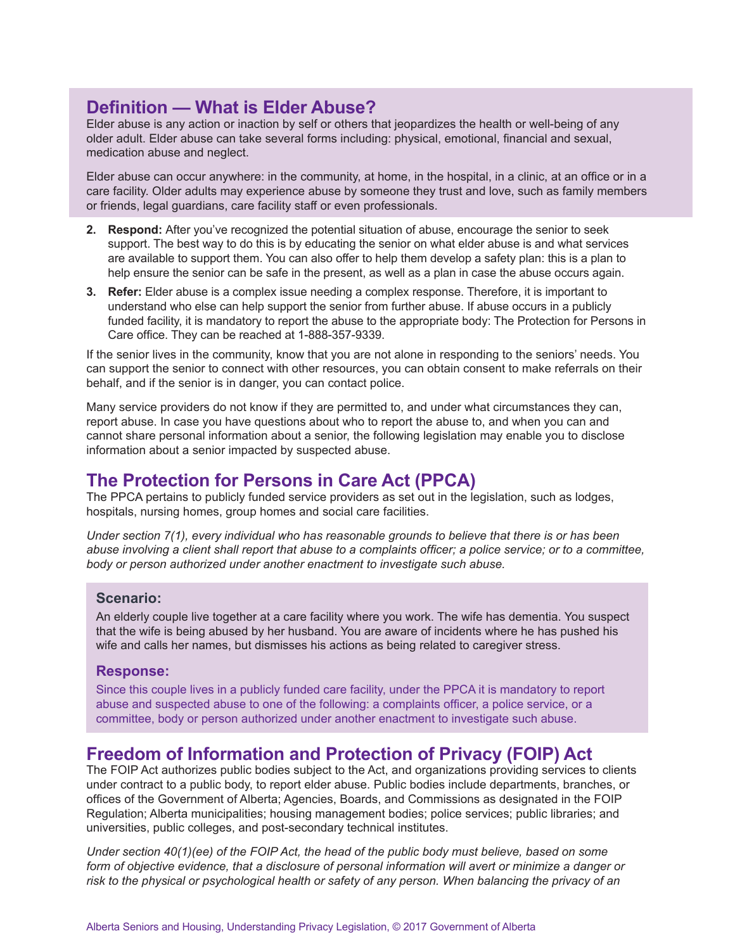# **Definition — What is Elder Abuse?**

Elder abuse is any action or inaction by self or others that jeopardizes the health or well‑being of any older adult. Elder abuse can take several forms including: physical, emotional, financial and sexual, medication abuse and neglect.

Elder abuse can occur anywhere: in the community, at home, in the hospital, in a clinic, at an office or in a care facility. Older adults may experience abuse by someone they trust and love, such as family members or friends, legal guardians, care facility staff or even professionals.

- **2. Respond:** After you've recognized the potential situation of abuse, encourage the senior to seek support. The best way to do this is by educating the senior on what elder abuse is and what services are available to support them. You can also offer to help them develop a safety plan: this is a plan to help ensure the senior can be safe in the present, as well as a plan in case the abuse occurs again.
- **3. Refer:** Elder abuse is a complex issue needing a complex response. Therefore, it is important to understand who else can help support the senior from further abuse. If abuse occurs in a publicly funded facility, it is mandatory to report the abuse to the appropriate body: The Protection for Persons in Care office. They can be reached at 1‑888‑357‑9339.

If the senior lives in the community, know that you are not alone in responding to the seniors' needs. You can support the senior to connect with other resources, you can obtain consent to make referrals on their behalf, and if the senior is in danger, you can contact police.

Many service providers do not know if they are permitted to, and under what circumstances they can, report abuse. In case you have questions about who to report the abuse to, and when you can and cannot share personal information about a senior, the following legislation may enable you to disclose information about a senior impacted by suspected abuse.

## **The Protection for Persons in Care Act (PPCA)**

The PPCA pertains to publicly funded service providers as set out in the legislation, such as lodges, hospitals, nursing homes, group homes and social care facilities.

*Under section 7(1), every individual who has reasonable grounds to believe that there is or has been abuse involving a client shall report that abuse to a complaints officer; a police service; or to a committee, body or person authorized under another enactment to investigate such abuse.* 

#### **Scenario:**

An elderly couple live together at a care facility where you work. The wife has dementia. You suspect that the wife is being abused by her husband. You are aware of incidents where he has pushed his wife and calls her names, but dismisses his actions as being related to caregiver stress.

#### **Response:**

Since this couple lives in a publicly funded care facility, under the PPCA it is mandatory to report abuse and suspected abuse to one of the following: a complaints officer, a police service, or a committee, body or person authorized under another enactment to investigate such abuse.

## **Freedom of Information and Protection of Privacy (FOIP) Act**

The FOIP Act authorizes public bodies subject to the Act, and organizations providing services to clients under contract to a public body, to report elder abuse. Public bodies include departments, branches, or offices of the Government of Alberta; Agencies, Boards, and Commissions as designated in the FOIP Regulation; Alberta municipalities; housing management bodies; police services; public libraries; and universities, public colleges, and post‑secondary technical institutes.

*Under section 40(1)(ee) of the FOIP Act, the head of the public body must believe, based on some form of objective evidence, that a disclosure of personal information will avert or minimize a danger or risk to the physical or psychological health or safety of any person. When balancing the privacy of an*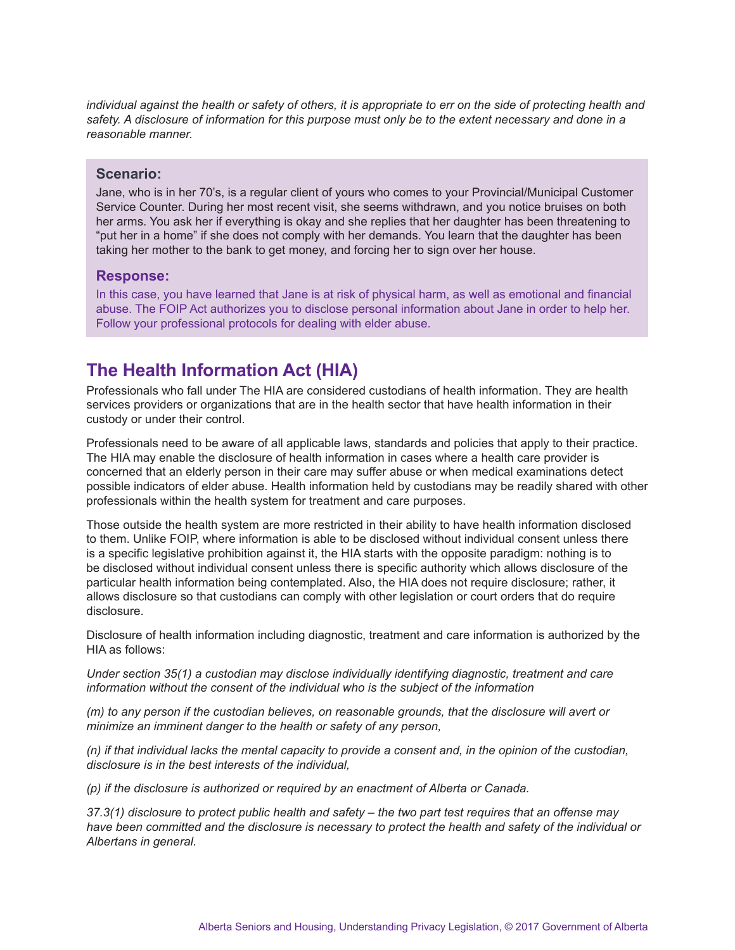*individual against the health or safety of others, it is appropriate to err on the side of protecting health and safety. A disclosure of information for this purpose must only be to the extent necessary and done in a reasonable manner.*

#### **Scenario:**

Jane, who is in her 70's, is a regular client of yours who comes to your Provincial/Municipal Customer Service Counter. During her most recent visit, she seems withdrawn, and you notice bruises on both her arms. You ask her if everything is okay and she replies that her daughter has been threatening to "put her in a home" if she does not comply with her demands. You learn that the daughter has been taking her mother to the bank to get money, and forcing her to sign over her house.

#### **Response:**

In this case, you have learned that Jane is at risk of physical harm, as well as emotional and financial abuse. The FOIP Act authorizes you to disclose personal information about Jane in order to help her. Follow your professional protocols for dealing with elder abuse.

## **The Health Information Act (HIA)**

Professionals who fall under The HIA are considered custodians of health information. They are health services providers or organizations that are in the health sector that have health information in their custody or under their control.

Professionals need to be aware of all applicable laws, standards and policies that apply to their practice. The HIA may enable the disclosure of health information in cases where a health care provider is concerned that an elderly person in their care may suffer abuse or when medical examinations detect possible indicators of elder abuse. Health information held by custodians may be readily shared with other professionals within the health system for treatment and care purposes.

Those outside the health system are more restricted in their ability to have health information disclosed to them. Unlike FOIP, where information is able to be disclosed without individual consent unless there is a specific legislative prohibition against it, the HIA starts with the opposite paradigm: nothing is to be disclosed without individual consent unless there is specific authority which allows disclosure of the particular health information being contemplated. Also, the HIA does not require disclosure; rather, it allows disclosure so that custodians can comply with other legislation or court orders that do require disclosure.

Disclosure of health information including diagnostic, treatment and care information is authorized by the HIA as follows:

*Under section 35(1) a custodian may disclose individually identifying diagnostic, treatment and care information without the consent of the individual who is the subject of the information*

*(m) to any person if the custodian believes, on reasonable grounds, that the disclosure will avert or minimize an imminent danger to the health or safety of any person,*

*(n) if that individual lacks the mental capacity to provide a consent and, in the opinion of the custodian, disclosure is in the best interests of the individual,*

*(p) if the disclosure is authorized or required by an enactment of Alberta or Canada.* 

*37.3(1) disclosure to protect public health and safety – the two part test requires that an offense may have been committed and the disclosure is necessary to protect the health and safety of the individual or Albertans in general.*